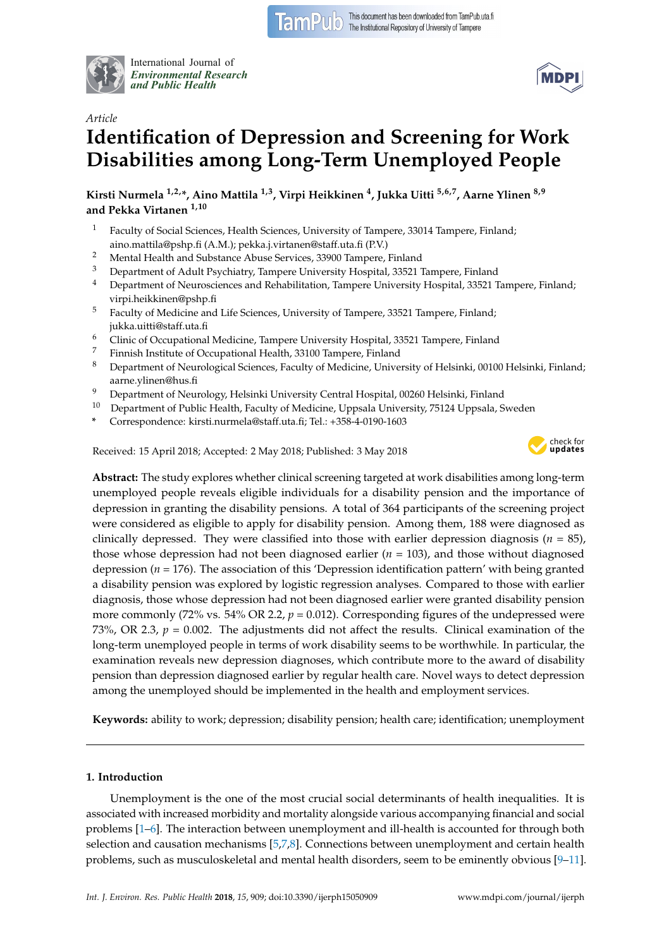

International Journal of *[Environmental Research](http://www.mdpi.com/journal/ijerph) and Public Health*



# *Article* **Identification of Depression and Screening for Work Disabilities among Long-Term Unemployed People**

**Kirsti Nurmela 1,2,\*, Aino Mattila 1,3, Virpi Heikkinen <sup>4</sup> , Jukka Uitti 5,6,7, Aarne Ylinen 8,9 and Pekka Virtanen 1,10**

- <sup>1</sup> Faculty of Social Sciences, Health Sciences, University of Tampere, 33014 Tampere, Finland; aino.mattila@pshp.fi (A.M.); pekka.j.virtanen@staff.uta.fi (P.V.)
- <sup>2</sup> Mental Health and Substance Abuse Services, 33900 Tampere, Finland<br><sup>3</sup> Department of Adult Bauchistry, Tampere, University, Health 22521
- <sup>3</sup> Department of Adult Psychiatry, Tampere University Hospital, 33521 Tampere, Finland
- <sup>4</sup> Department of Neurosciences and Rehabilitation, Tampere University Hospital, 33521 Tampere, Finland; virpi.heikkinen@pshp.fi
- <sup>5</sup> Faculty of Medicine and Life Sciences, University of Tampere, 33521 Tampere, Finland; jukka.uitti@staff.uta.fi
- <sup>6</sup> Clinic of Occupational Medicine, Tampere University Hospital, 33521 Tampere, Finland
- Finnish Institute of Occupational Health, 33100 Tampere, Finland
- <sup>8</sup> Department of Neurological Sciences, Faculty of Medicine, University of Helsinki, 00100 Helsinki, Finland; aarne.ylinen@hus.fi
- <sup>9</sup> Department of Neurology, Helsinki University Central Hospital, 00260 Helsinki, Finland
- <sup>10</sup> Department of Public Health, Faculty of Medicine, Uppsala University, 75124 Uppsala, Sweden
- **\*** Correspondence: kirsti.nurmela@staff.uta.fi; Tel.: +358-4-0190-1603

Received: 15 April 2018; Accepted: 2 May 2018; Published: 3 May 2018



**Abstract:** The study explores whether clinical screening targeted at work disabilities among long-term unemployed people reveals eligible individuals for a disability pension and the importance of depression in granting the disability pensions. A total of 364 participants of the screening project were considered as eligible to apply for disability pension. Among them, 188 were diagnosed as clinically depressed. They were classified into those with earlier depression diagnosis (*n* = 85), those whose depression had not been diagnosed earlier (*n* = 103), and those without diagnosed depression (*n* = 176). The association of this 'Depression identification pattern' with being granted a disability pension was explored by logistic regression analyses. Compared to those with earlier diagnosis, those whose depression had not been diagnosed earlier were granted disability pension more commonly  $(72\% \text{ vs. } 54\% \text{ OR } 2.2, p = 0.012)$ . Corresponding figures of the undepressed were 73%, OR 2.3,  $p = 0.002$ . The adjustments did not affect the results. Clinical examination of the long-term unemployed people in terms of work disability seems to be worthwhile. In particular, the examination reveals new depression diagnoses, which contribute more to the award of disability pension than depression diagnosed earlier by regular health care. Novel ways to detect depression among the unemployed should be implemented in the health and employment services.

**Keywords:** ability to work; depression; disability pension; health care; identification; unemployment

# **1. Introduction**

Unemployment is the one of the most crucial social determinants of health inequalities. It is associated with increased morbidity and mortality alongside various accompanying financial and social problems [\[1](#page-8-0)[–6\]](#page-8-1). The interaction between unemployment and ill-health is accounted for through both selection and causation mechanisms [\[5](#page-8-2)[,7](#page-8-3)[,8\]](#page-8-4). Connections between unemployment and certain health problems, such as musculoskeletal and mental health disorders, seem to be eminently obvious [\[9–](#page-8-5)[11\]](#page-8-6).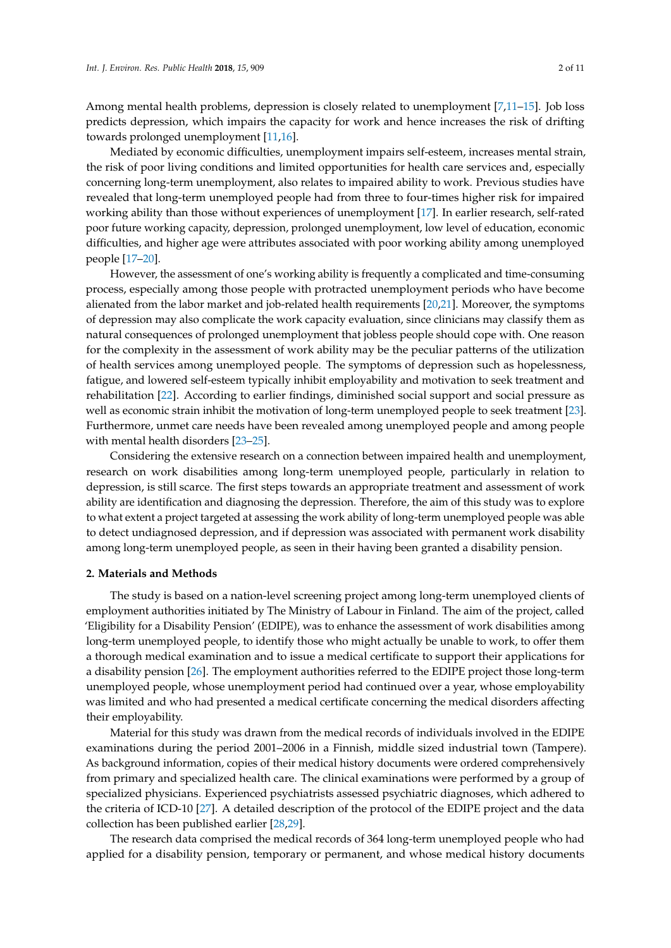Among mental health problems, depression is closely related to unemployment [\[7](#page-8-3)[,11](#page-8-6)[–15\]](#page-8-7). Job loss predicts depression, which impairs the capacity for work and hence increases the risk of drifting towards prolonged unemployment [\[11](#page-8-6)[,16\]](#page-8-8).

Mediated by economic difficulties, unemployment impairs self-esteem, increases mental strain, the risk of poor living conditions and limited opportunities for health care services and, especially concerning long-term unemployment, also relates to impaired ability to work. Previous studies have revealed that long-term unemployed people had from three to four-times higher risk for impaired working ability than those without experiences of unemployment [\[17\]](#page-9-0). In earlier research, self-rated poor future working capacity, depression, prolonged unemployment, low level of education, economic difficulties, and higher age were attributes associated with poor working ability among unemployed people [\[17–](#page-9-0)[20\]](#page-9-1).

However, the assessment of one's working ability is frequently a complicated and time-consuming process, especially among those people with protracted unemployment periods who have become alienated from the labor market and job-related health requirements [\[20,](#page-9-1)[21\]](#page-9-2). Moreover, the symptoms of depression may also complicate the work capacity evaluation, since clinicians may classify them as natural consequences of prolonged unemployment that jobless people should cope with. One reason for the complexity in the assessment of work ability may be the peculiar patterns of the utilization of health services among unemployed people. The symptoms of depression such as hopelessness, fatigue, and lowered self-esteem typically inhibit employability and motivation to seek treatment and rehabilitation [\[22\]](#page-9-3). According to earlier findings, diminished social support and social pressure as well as economic strain inhibit the motivation of long-term unemployed people to seek treatment [\[23\]](#page-9-4). Furthermore, unmet care needs have been revealed among unemployed people and among people with mental health disorders [\[23](#page-9-4)[–25\]](#page-9-5).

Considering the extensive research on a connection between impaired health and unemployment, research on work disabilities among long-term unemployed people, particularly in relation to depression, is still scarce. The first steps towards an appropriate treatment and assessment of work ability are identification and diagnosing the depression. Therefore, the aim of this study was to explore to what extent a project targeted at assessing the work ability of long-term unemployed people was able to detect undiagnosed depression, and if depression was associated with permanent work disability among long-term unemployed people, as seen in their having been granted a disability pension.

## **2. Materials and Methods**

The study is based on a nation-level screening project among long-term unemployed clients of employment authorities initiated by The Ministry of Labour in Finland. The aim of the project, called 'Eligibility for a Disability Pension' (EDIPE), was to enhance the assessment of work disabilities among long-term unemployed people, to identify those who might actually be unable to work, to offer them a thorough medical examination and to issue a medical certificate to support their applications for a disability pension [\[26\]](#page-9-6). The employment authorities referred to the EDIPE project those long-term unemployed people, whose unemployment period had continued over a year, whose employability was limited and who had presented a medical certificate concerning the medical disorders affecting their employability.

Material for this study was drawn from the medical records of individuals involved in the EDIPE examinations during the period 2001–2006 in a Finnish, middle sized industrial town (Tampere). As background information, copies of their medical history documents were ordered comprehensively from primary and specialized health care. The clinical examinations were performed by a group of specialized physicians. Experienced psychiatrists assessed psychiatric diagnoses, which adhered to the criteria of ICD-10 [\[27\]](#page-9-7). A detailed description of the protocol of the EDIPE project and the data collection has been published earlier [\[28,](#page-9-8)[29\]](#page-9-9).

The research data comprised the medical records of 364 long-term unemployed people who had applied for a disability pension, temporary or permanent, and whose medical history documents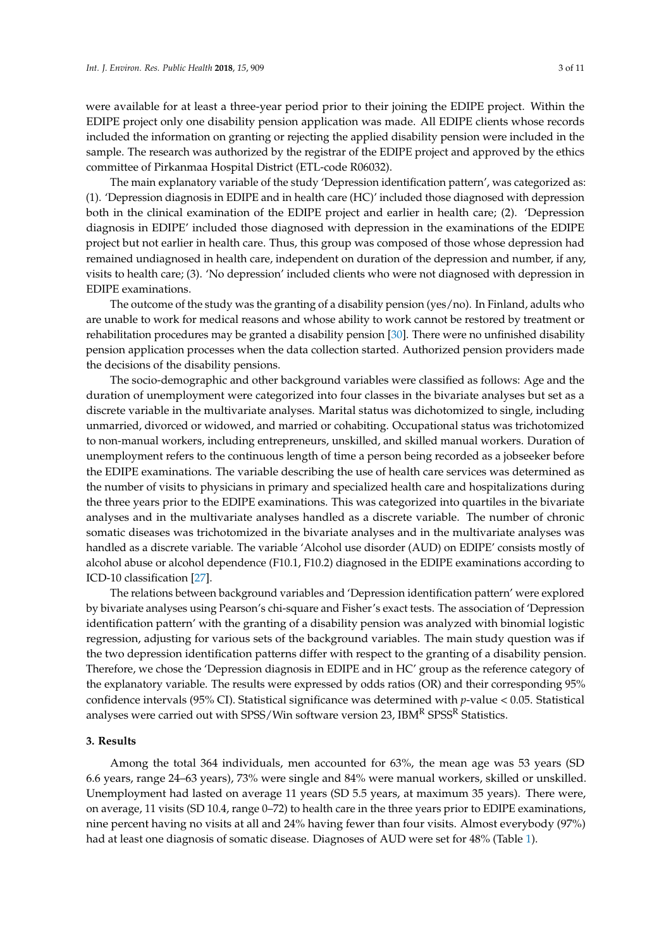were available for at least a three-year period prior to their joining the EDIPE project. Within the EDIPE project only one disability pension application was made. All EDIPE clients whose records included the information on granting or rejecting the applied disability pension were included in the sample. The research was authorized by the registrar of the EDIPE project and approved by the ethics committee of Pirkanmaa Hospital District (ETL-code R06032).

The main explanatory variable of the study 'Depression identification pattern', was categorized as: (1). 'Depression diagnosis in EDIPE and in health care (HC)' included those diagnosed with depression both in the clinical examination of the EDIPE project and earlier in health care; (2). 'Depression diagnosis in EDIPE' included those diagnosed with depression in the examinations of the EDIPE project but not earlier in health care. Thus, this group was composed of those whose depression had remained undiagnosed in health care, independent on duration of the depression and number, if any, visits to health care; (3). 'No depression' included clients who were not diagnosed with depression in EDIPE examinations.

The outcome of the study was the granting of a disability pension (yes/no). In Finland, adults who are unable to work for medical reasons and whose ability to work cannot be restored by treatment or rehabilitation procedures may be granted a disability pension [\[30\]](#page-9-10). There were no unfinished disability pension application processes when the data collection started. Authorized pension providers made the decisions of the disability pensions.

The socio-demographic and other background variables were classified as follows: Age and the duration of unemployment were categorized into four classes in the bivariate analyses but set as a discrete variable in the multivariate analyses. Marital status was dichotomized to single, including unmarried, divorced or widowed, and married or cohabiting. Occupational status was trichotomized to non-manual workers, including entrepreneurs, unskilled, and skilled manual workers. Duration of unemployment refers to the continuous length of time a person being recorded as a jobseeker before the EDIPE examinations. The variable describing the use of health care services was determined as the number of visits to physicians in primary and specialized health care and hospitalizations during the three years prior to the EDIPE examinations. This was categorized into quartiles in the bivariate analyses and in the multivariate analyses handled as a discrete variable. The number of chronic somatic diseases was trichotomized in the bivariate analyses and in the multivariate analyses was handled as a discrete variable. The variable 'Alcohol use disorder (AUD) on EDIPE' consists mostly of alcohol abuse or alcohol dependence (F10.1, F10.2) diagnosed in the EDIPE examinations according to ICD-10 classification [\[27\]](#page-9-7).

The relations between background variables and 'Depression identification pattern' were explored by bivariate analyses using Pearson's chi-square and Fisher's exact tests. The association of 'Depression identification pattern' with the granting of a disability pension was analyzed with binomial logistic regression, adjusting for various sets of the background variables. The main study question was if the two depression identification patterns differ with respect to the granting of a disability pension. Therefore, we chose the 'Depression diagnosis in EDIPE and in HC' group as the reference category of the explanatory variable. The results were expressed by odds ratios (OR) and their corresponding 95% confidence intervals (95% CI). Statistical significance was determined with *p*-value < 0.05. Statistical analyses were carried out with SPSS/Win software version 23, IBMR SPSSR Statistics.

#### **3. Results**

Among the total 364 individuals, men accounted for 63%, the mean age was 53 years (SD 6.6 years, range 24–63 years), 73% were single and 84% were manual workers, skilled or unskilled. Unemployment had lasted on average 11 years (SD 5.5 years, at maximum 35 years). There were, on average, 11 visits (SD 10.4, range 0–72) to health care in the three years prior to EDIPE examinations, nine percent having no visits at all and 24% having fewer than four visits. Almost everybody (97%) had at least one diagnosis of somatic disease. Diagnoses of AUD were set for 48% (Table [1\)](#page-3-0).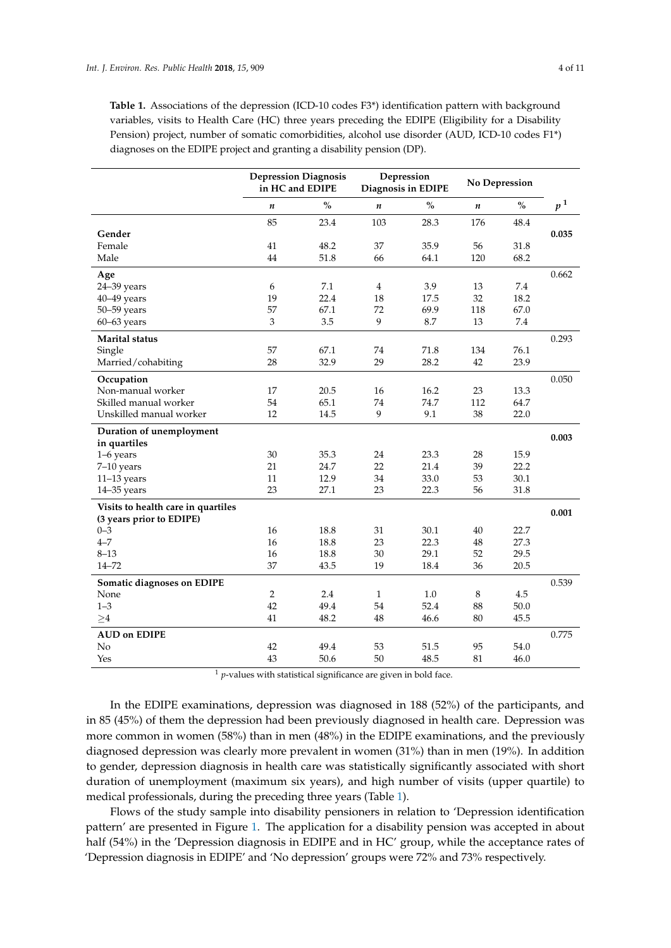<span id="page-3-0"></span>Table 1. Associations of the depression (ICD-10 codes F3<sup>\*</sup>) identification pattern with background variables, visits to Health Care (HC) three years preceding the EDIPE (Eligibility for a Disability Pension) project, number of somatic comorbidities, alcohol use disorder (AUD, ICD-10 codes F1\*) diagnoses on the EDIPE project and granting a disability pension (DP).

|                                    | <b>Depression Diagnosis</b><br>in HC and EDIPE |               | Depression<br>Diagnosis in EDIPE |               | <b>No Depression</b> |               |                |
|------------------------------------|------------------------------------------------|---------------|----------------------------------|---------------|----------------------|---------------|----------------|
|                                    | n                                              | $\frac{0}{0}$ | $\boldsymbol{n}$                 | $\frac{0}{0}$ | $\boldsymbol{n}$     | $\frac{0}{0}$ | p <sup>1</sup> |
|                                    | 85                                             | 23.4          | 103                              | 28.3          | 176                  | 48.4          |                |
| Gender                             |                                                |               |                                  |               |                      |               | 0.035          |
| Female                             | 41                                             | 48.2          | 37                               | 35.9          | 56                   | 31.8          |                |
| Male                               | 44                                             | 51.8          | 66                               | 64.1          | 120                  | 68.2          |                |
| Age                                |                                                |               |                                  |               |                      |               | 0.662          |
| 24-39 years                        | 6                                              | 7.1           | $\overline{4}$                   | 3.9           | 13                   | 7.4           |                |
| $40 - 49$ years                    | 19                                             | 22.4          | 18                               | 17.5          | 32                   | 18.2          |                |
| 50-59 years                        | 57                                             | 67.1          | 72                               | 69.9          | 118                  | 67.0          |                |
| $60-63$ years                      | 3                                              | 3.5           | 9                                | 8.7           | 13                   | 7.4           |                |
| <b>Marital status</b>              |                                                |               |                                  |               |                      |               | 0.293          |
| Single                             | 57                                             | 67.1          | 74                               | 71.8          | 134                  | 76.1          |                |
| Married/cohabiting                 | 28                                             | 32.9          | 29                               | 28.2          | 42                   | 23.9          |                |
| Occupation                         |                                                |               |                                  |               |                      |               | 0.050          |
| Non-manual worker                  | 17                                             | 20.5          | 16                               | 16.2          | 23                   | 13.3          |                |
| Skilled manual worker              | 54                                             | 65.1          | 74                               | 74.7          | 112                  | 64.7          |                |
| Unskilled manual worker            | 12                                             | 14.5          | 9                                | 9.1           | 38                   | 22.0          |                |
| Duration of unemployment           |                                                |               |                                  |               |                      |               | 0.003          |
| in quartiles                       |                                                |               |                                  |               |                      |               |                |
| $1-6$ years                        | 30                                             | 35.3          | 24                               | 23.3          | 28                   | 15.9          |                |
| 7-10 years                         | 21                                             | 24.7          | 22                               | 21.4          | 39                   | 22.2          |                |
| $11-13$ years                      | 11                                             | 12.9          | 34                               | 33.0          | 53                   | 30.1          |                |
| $14 - 35$ years                    | 23                                             | 27.1          | 23                               | 22.3          | 56                   | 31.8          |                |
| Visits to health care in quartiles |                                                |               |                                  |               |                      |               | 0.001          |
| (3 years prior to EDIPE)           |                                                |               |                                  |               |                      |               |                |
| $0 - 3$                            | 16                                             | 18.8          | 31                               | 30.1          | 40                   | 22.7          |                |
| $4 - 7$                            | 16                                             | 18.8          | 23                               | 22.3          | 48                   | 27.3          |                |
| $8 - 13$                           | 16                                             | 18.8          | 30                               | 29.1          | 52                   | 29.5          |                |
| $14 - 72$                          | 37                                             | 43.5          | 19                               | 18.4          | 36                   | 20.5          |                |
| Somatic diagnoses on EDIPE         |                                                |               |                                  |               |                      |               | 0.539          |
| None                               | $\overline{2}$                                 | 2.4           | $\mathbf{1}$                     | 1.0           | 8                    | 4.5           |                |
| $1 - 3$                            | 42                                             | 49.4          | 54                               | 52.4          | 88                   | 50.0          |                |
| $\geq$ 4                           | 41                                             | 48.2          | 48                               | 46.6          | 80                   | 45.5          |                |
| <b>AUD on EDIPE</b>                |                                                |               |                                  |               |                      |               | 0.775          |
| No                                 | 42                                             | 49.4          | 53                               | 51.5          | 95                   | 54.0          |                |
| Yes                                | 43                                             | 50.6          | 50                               | 48.5          | 81                   | 46.0          |                |

 $1$   $p$ -values with statistical significance are given in bold face.

In the EDIPE examinations, depression was diagnosed in 188 (52%) of the participants, and in 85 (45%) of them the depression had been previously diagnosed in health care. Depression was more common in women (58%) than in men (48%) in the EDIPE examinations, and the previously diagnosed depression was clearly more prevalent in women (31%) than in men (19%). In addition to gender, depression diagnosis in health care was statistically significantly associated with short duration of unemployment (maximum six years), and high number of visits (upper quartile) to medical professionals, during the preceding three years (Table [1\)](#page-3-0).

Flows of the study sample into disability pensioners in relation to 'Depression identification pattern' are presented in Figure [1.](#page-4-0) The application for a disability pension was accepted in about half (54%) in the 'Depression diagnosis in EDIPE and in HC' group, while the acceptance rates of 'Depression diagnosis in EDIPE' and 'No depression' groups were 72% and 73% respectively.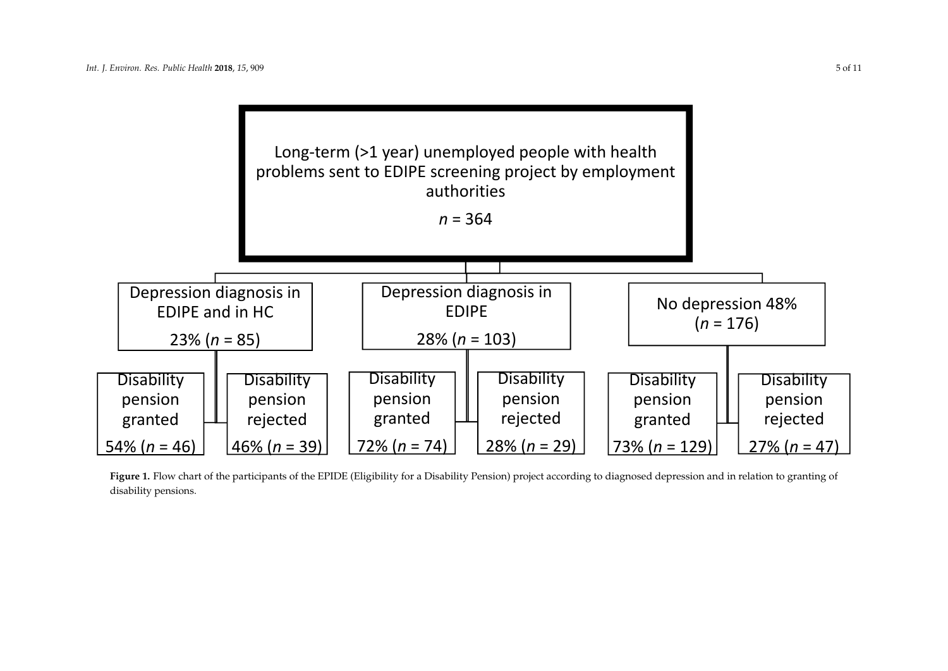

<span id="page-4-0"></span>Figure 1. Flow chart of the participants of the EPIDE (Eligibility for a Disability Pension) project according to diagnosed depression and in relation to granting of disability pensions. disability pensions.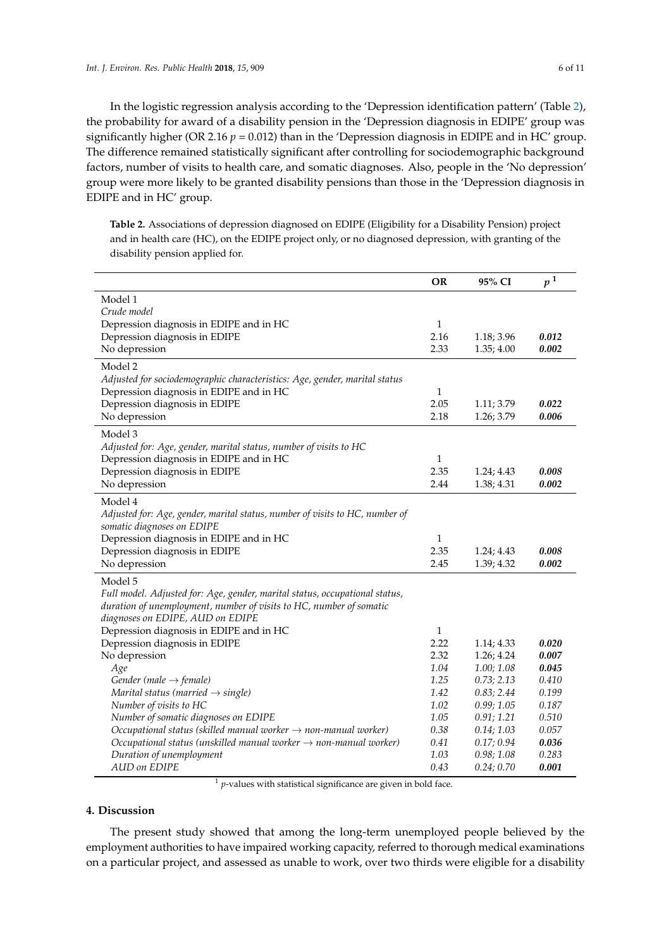In the logistic regression analysis according to the 'Depression identification pattern' (Table [2\)](#page-5-0), the probability for award of a disability pension in the 'Depression diagnosis in EDIPE' group was significantly higher (OR 2.16  $p = 0.012$ ) than in the 'Depression diagnosis in EDIPE and in HC' group. The difference remained statistically significant after controlling for sociodemographic background factors, number of visits to health care, and somatic diagnoses. Also, people in the 'No depression' group were more likely to be granted disability pensions than those in the 'Depression diagnosis in EDIPE and in HC' group.

<span id="page-5-0"></span>**Table 2.** Associations of depression diagnosed on EDIPE (Eligibility for a Disability Pension) project and in health care (HC), on the EDIPE project only, or no diagnosed depression, with granting of the disability pension applied for.

|                                                                               | <b>OR</b> | 95% CI     | $p^{1}$ |
|-------------------------------------------------------------------------------|-----------|------------|---------|
| Model 1                                                                       |           |            |         |
| Crude model                                                                   |           |            |         |
| Depression diagnosis in EDIPE and in HC                                       | 1         |            |         |
| Depression diagnosis in EDIPE                                                 | 2.16      | 1.18; 3.96 | 0.012   |
| No depression                                                                 | 2.33      | 1.35; 4.00 | 0.002   |
| Model 2                                                                       |           |            |         |
| Adjusted for sociodemographic characteristics: Age, gender, marital status    |           |            |         |
| Depression diagnosis in EDIPE and in HC                                       | 1         |            |         |
| Depression diagnosis in EDIPE                                                 | 2.05      | 1.11; 3.79 | 0.022   |
| No depression                                                                 | 2.18      | 1.26; 3.79 | 0.006   |
| Model 3                                                                       |           |            |         |
| Adjusted for: Age, gender, marital status, number of visits to HC             |           |            |         |
| Depression diagnosis in EDIPE and in HC                                       | 1         |            |         |
| Depression diagnosis in EDIPE                                                 | 2.35      | 1.24; 4.43 | 0.008   |
| No depression                                                                 | 2.44      | 1.38; 4.31 | 0.002   |
| Model 4                                                                       |           |            |         |
| Adjusted for: Age, gender, marital status, number of visits to HC, number of  |           |            |         |
| somatic diagnoses on EDIPE                                                    |           |            |         |
| Depression diagnosis in EDIPE and in HC                                       | 1         |            |         |
| Depression diagnosis in EDIPE                                                 | 2.35      | 1.24; 4.43 | 0.008   |
| No depression                                                                 | 2.45      | 1.39; 4.32 | 0.002   |
| Model 5                                                                       |           |            |         |
| Full model. Adjusted for: Age, gender, marital status, occupational status,   |           |            |         |
| duration of unemployment, number of visits to HC, number of somatic           |           |            |         |
| diagnoses on EDIPE, AUD on EDIPE                                              |           |            |         |
| Depression diagnosis in EDIPE and in HC                                       | 1         |            |         |
| Depression diagnosis in EDIPE                                                 | 2.22      | 1.14; 4.33 | 0.020   |
| No depression                                                                 | 2.32      | 1.26; 4.24 | 0.007   |
| Age                                                                           | 1.04      | 1.00; 1.08 | 0.045   |
| Gender (male $\rightarrow$ female)                                            | 1.25      | 0.73; 2.13 | 0.410   |
| Marital status (married $\rightarrow$ single)                                 | 1.42      | 0.83; 2.44 | 0.199   |
| Number of visits to HC                                                        | 1.02      | 0.99; 1.05 | 0.187   |
| Number of somatic diagnoses on EDIPE                                          | 1.05      | 0.91; 1.21 | 0.510   |
| Occupational status (skilled manual worker $\rightarrow$ non-manual worker)   | 0.38      | 0.14; 1.03 | 0.057   |
| Occupational status (unskilled manual worker $\rightarrow$ non-manual worker) | 0.41      | 0.17; 0.94 | 0.036   |
| Duration of unemployment                                                      | 1.03      | 0.98; 1.08 | 0.283   |
| <b>AUD on EDIPE</b>                                                           | 0.43      | 0.24; 0.70 | 0.001   |

<sup>1</sup> *p*-values with statistical significance are given in bold face.

## **4. Discussion**

The present study showed that among the long-term unemployed people believed by the employment authorities to have impaired working capacity, referred to thorough medical examinations on a particular project, and assessed as unable to work, over two thirds were eligible for a disability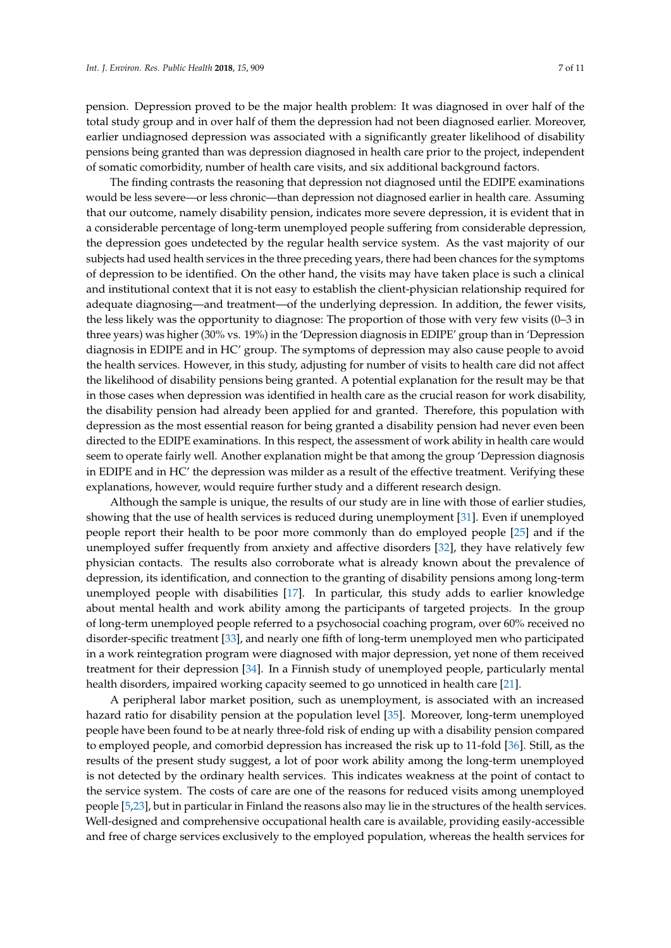pension. Depression proved to be the major health problem: It was diagnosed in over half of the total study group and in over half of them the depression had not been diagnosed earlier. Moreover, earlier undiagnosed depression was associated with a significantly greater likelihood of disability pensions being granted than was depression diagnosed in health care prior to the project, independent of somatic comorbidity, number of health care visits, and six additional background factors.

The finding contrasts the reasoning that depression not diagnosed until the EDIPE examinations would be less severe—or less chronic—than depression not diagnosed earlier in health care. Assuming that our outcome, namely disability pension, indicates more severe depression, it is evident that in a considerable percentage of long-term unemployed people suffering from considerable depression, the depression goes undetected by the regular health service system. As the vast majority of our subjects had used health services in the three preceding years, there had been chances for the symptoms of depression to be identified. On the other hand, the visits may have taken place is such a clinical and institutional context that it is not easy to establish the client-physician relationship required for adequate diagnosing—and treatment—of the underlying depression. In addition, the fewer visits, the less likely was the opportunity to diagnose: The proportion of those with very few visits (0–3 in three years) was higher (30% vs. 19%) in the 'Depression diagnosis in EDIPE' group than in 'Depression diagnosis in EDIPE and in HC' group. The symptoms of depression may also cause people to avoid the health services. However, in this study, adjusting for number of visits to health care did not affect the likelihood of disability pensions being granted. A potential explanation for the result may be that in those cases when depression was identified in health care as the crucial reason for work disability, the disability pension had already been applied for and granted. Therefore, this population with depression as the most essential reason for being granted a disability pension had never even been directed to the EDIPE examinations. In this respect, the assessment of work ability in health care would seem to operate fairly well. Another explanation might be that among the group 'Depression diagnosis in EDIPE and in HC' the depression was milder as a result of the effective treatment. Verifying these explanations, however, would require further study and a different research design.

Although the sample is unique, the results of our study are in line with those of earlier studies, showing that the use of health services is reduced during unemployment [\[31\]](#page-9-11). Even if unemployed people report their health to be poor more commonly than do employed people [\[25\]](#page-9-5) and if the unemployed suffer frequently from anxiety and affective disorders [\[32\]](#page-9-12), they have relatively few physician contacts. The results also corroborate what is already known about the prevalence of depression, its identification, and connection to the granting of disability pensions among long-term unemployed people with disabilities [\[17\]](#page-9-0). In particular, this study adds to earlier knowledge about mental health and work ability among the participants of targeted projects. In the group of long-term unemployed people referred to a psychosocial coaching program, over 60% received no disorder-specific treatment [\[33\]](#page-9-13), and nearly one fifth of long-term unemployed men who participated in a work reintegration program were diagnosed with major depression, yet none of them received treatment for their depression [\[34\]](#page-9-14). In a Finnish study of unemployed people, particularly mental health disorders, impaired working capacity seemed to go unnoticed in health care [\[21\]](#page-9-2).

A peripheral labor market position, such as unemployment, is associated with an increased hazard ratio for disability pension at the population level [\[35\]](#page-9-15). Moreover, long-term unemployed people have been found to be at nearly three-fold risk of ending up with a disability pension compared to employed people, and comorbid depression has increased the risk up to 11-fold [\[36\]](#page-10-0). Still, as the results of the present study suggest, a lot of poor work ability among the long-term unemployed is not detected by the ordinary health services. This indicates weakness at the point of contact to the service system. The costs of care are one of the reasons for reduced visits among unemployed people [\[5](#page-8-2)[,23\]](#page-9-4), but in particular in Finland the reasons also may lie in the structures of the health services. Well-designed and comprehensive occupational health care is available, providing easily-accessible and free of charge services exclusively to the employed population, whereas the health services for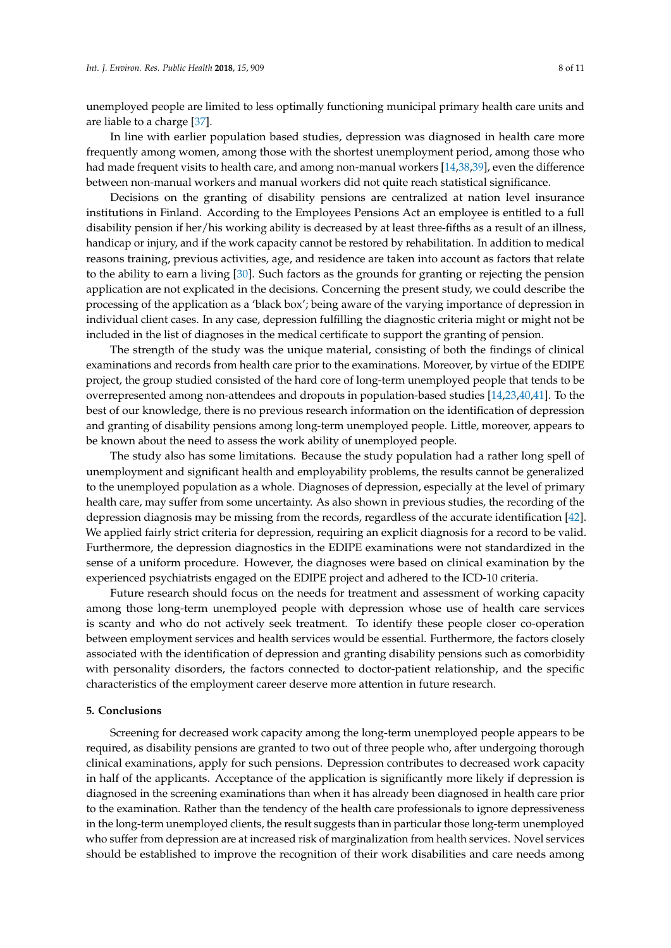unemployed people are limited to less optimally functioning municipal primary health care units and are liable to a charge [\[37\]](#page-10-1).

In line with earlier population based studies, depression was diagnosed in health care more frequently among women, among those with the shortest unemployment period, among those who had made frequent visits to health care, and among non-manual workers [\[14](#page-8-9)[,38](#page-10-2)[,39\]](#page-10-3), even the difference between non-manual workers and manual workers did not quite reach statistical significance.

Decisions on the granting of disability pensions are centralized at nation level insurance institutions in Finland. According to the Employees Pensions Act an employee is entitled to a full disability pension if her/his working ability is decreased by at least three-fifths as a result of an illness, handicap or injury, and if the work capacity cannot be restored by rehabilitation. In addition to medical reasons training, previous activities, age, and residence are taken into account as factors that relate to the ability to earn a living [\[30\]](#page-9-10). Such factors as the grounds for granting or rejecting the pension application are not explicated in the decisions. Concerning the present study, we could describe the processing of the application as a 'black box'; being aware of the varying importance of depression in individual client cases. In any case, depression fulfilling the diagnostic criteria might or might not be included in the list of diagnoses in the medical certificate to support the granting of pension.

The strength of the study was the unique material, consisting of both the findings of clinical examinations and records from health care prior to the examinations. Moreover, by virtue of the EDIPE project, the group studied consisted of the hard core of long-term unemployed people that tends to be overrepresented among non-attendees and dropouts in population-based studies [\[14](#page-8-9)[,23](#page-9-4)[,40](#page-10-4)[,41\]](#page-10-5). To the best of our knowledge, there is no previous research information on the identification of depression and granting of disability pensions among long-term unemployed people. Little, moreover, appears to be known about the need to assess the work ability of unemployed people.

The study also has some limitations. Because the study population had a rather long spell of unemployment and significant health and employability problems, the results cannot be generalized to the unemployed population as a whole. Diagnoses of depression, especially at the level of primary health care, may suffer from some uncertainty. As also shown in previous studies, the recording of the depression diagnosis may be missing from the records, regardless of the accurate identification [\[42\]](#page-10-6). We applied fairly strict criteria for depression, requiring an explicit diagnosis for a record to be valid. Furthermore, the depression diagnostics in the EDIPE examinations were not standardized in the sense of a uniform procedure. However, the diagnoses were based on clinical examination by the experienced psychiatrists engaged on the EDIPE project and adhered to the ICD-10 criteria.

Future research should focus on the needs for treatment and assessment of working capacity among those long-term unemployed people with depression whose use of health care services is scanty and who do not actively seek treatment. To identify these people closer co-operation between employment services and health services would be essential. Furthermore, the factors closely associated with the identification of depression and granting disability pensions such as comorbidity with personality disorders, the factors connected to doctor-patient relationship, and the specific characteristics of the employment career deserve more attention in future research.

### **5. Conclusions**

Screening for decreased work capacity among the long-term unemployed people appears to be required, as disability pensions are granted to two out of three people who, after undergoing thorough clinical examinations, apply for such pensions. Depression contributes to decreased work capacity in half of the applicants. Acceptance of the application is significantly more likely if depression is diagnosed in the screening examinations than when it has already been diagnosed in health care prior to the examination. Rather than the tendency of the health care professionals to ignore depressiveness in the long-term unemployed clients, the result suggests than in particular those long-term unemployed who suffer from depression are at increased risk of marginalization from health services. Novel services should be established to improve the recognition of their work disabilities and care needs among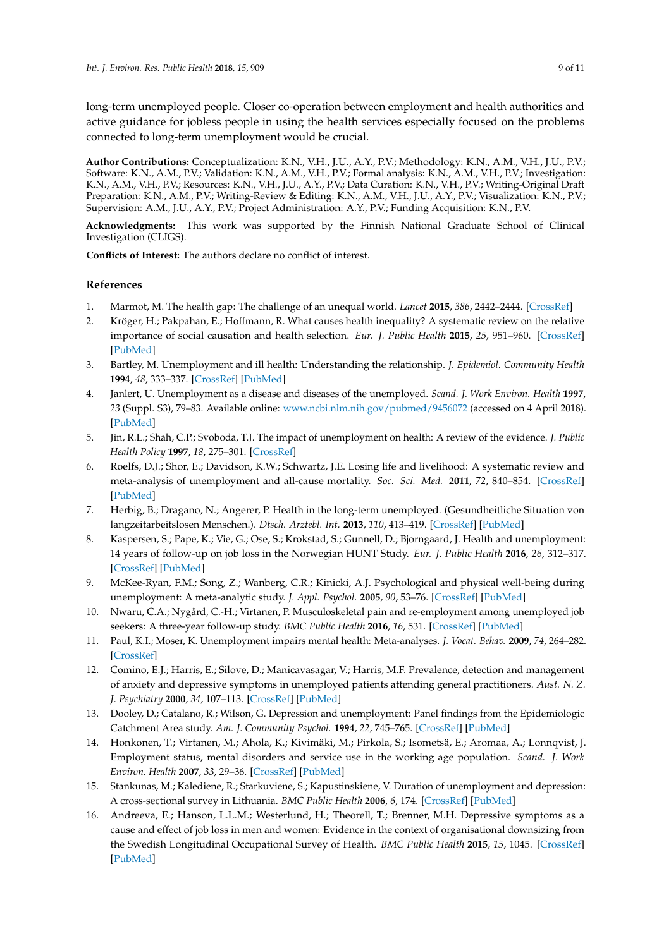long-term unemployed people. Closer co-operation between employment and health authorities and active guidance for jobless people in using the health services especially focused on the problems connected to long-term unemployment would be crucial.

**Author Contributions:** Conceptualization: K.N., V.H., J.U., A.Y., P.V.; Methodology: K.N., A.M., V.H., J.U., P.V.; Software: K.N., A.M., P.V.; Validation: K.N., A.M., V.H., P.V.; Formal analysis: K.N., A.M., V.H., P.V.; Investigation: K.N., A.M., V.H., P.V.; Resources: K.N., V.H., J.U., A.Y., P.V.; Data Curation: K.N., V.H., P.V.; Writing-Original Draft Preparation: K.N., A.M., P.V.; Writing-Review & Editing: K.N., A.M., V.H., J.U., A.Y., P.V.; Visualization: K.N., P.V.; Supervision: A.M., J.U., A.Y., P.V.; Project Administration: A.Y., P.V.; Funding Acquisition: K.N., P.V.

**Acknowledgments:** This work was supported by the Finnish National Graduate School of Clinical Investigation (CLIGS).

**Conflicts of Interest:** The authors declare no conflict of interest.

## **References**

- <span id="page-8-0"></span>1. Marmot, M. The health gap: The challenge of an unequal world. *Lancet* **2015**, *386*, 2442–2444. [\[CrossRef\]](http://dx.doi.org/10.1016/S0140-6736(15)00150-6)
- 2. Kröger, H.; Pakpahan, E.; Hoffmann, R. What causes health inequality? A systematic review on the relative importance of social causation and health selection. *Eur. J. Public Health* **2015**, *25*, 951–960. [\[CrossRef\]](http://dx.doi.org/10.1093/eurpub/ckv111) [\[PubMed\]](http://www.ncbi.nlm.nih.gov/pubmed/26089181)
- 3. Bartley, M. Unemployment and ill health: Understanding the relationship. *J. Epidemiol. Community Health* **1994**, *48*, 333–337. [\[CrossRef\]](http://dx.doi.org/10.1136/jech.48.4.333) [\[PubMed\]](http://www.ncbi.nlm.nih.gov/pubmed/7964329)
- 4. Janlert, U. Unemployment as a disease and diseases of the unemployed. *Scand. J. Work Environ. Health* **1997**, *23* (Suppl. S3), 79–83. Available online: <www.ncbi.nlm.nih.gov/pubmed/9456072> (accessed on 4 April 2018). [\[PubMed\]](http://www.ncbi.nlm.nih.gov/pubmed/9456072)
- <span id="page-8-2"></span>5. Jin, R.L.; Shah, C.P.; Svoboda, T.J. The impact of unemployment on health: A review of the evidence. *J. Public Health Policy* **1997**, *18*, 275–301. [\[CrossRef\]](http://dx.doi.org/10.2307/3343311)
- <span id="page-8-1"></span>6. Roelfs, D.J.; Shor, E.; Davidson, K.W.; Schwartz, J.E. Losing life and livelihood: A systematic review and meta-analysis of unemployment and all-cause mortality. *Soc. Sci. Med.* **2011**, *72*, 840–854. [\[CrossRef\]](http://dx.doi.org/10.1016/j.socscimed.2011.01.005) [\[PubMed\]](http://www.ncbi.nlm.nih.gov/pubmed/21330027)
- <span id="page-8-3"></span>7. Herbig, B.; Dragano, N.; Angerer, P. Health in the long-term unemployed. (Gesundheitliche Situation von langzeitarbeitslosen Menschen.). *Dtsch. Arztebl. Int.* **2013**, *110*, 413–419. [\[CrossRef\]](http://dx.doi.org/10.3238/arztebl.2013.0413) [\[PubMed\]](http://www.ncbi.nlm.nih.gov/pubmed/23837086)
- <span id="page-8-4"></span>8. Kaspersen, S.; Pape, K.; Vie, G.; Ose, S.; Krokstad, S.; Gunnell, D.; Bjorngaard, J. Health and unemployment: 14 years of follow-up on job loss in the Norwegian HUNT Study. *Eur. J. Public Health* **2016**, *26*, 312–317. [\[CrossRef\]](http://dx.doi.org/10.1093/eurpub/ckv224) [\[PubMed\]](http://www.ncbi.nlm.nih.gov/pubmed/26715474)
- <span id="page-8-5"></span>9. McKee-Ryan, F.M.; Song, Z.; Wanberg, C.R.; Kinicki, A.J. Psychological and physical well-being during unemployment: A meta-analytic study. *J. Appl. Psychol.* **2005**, *90*, 53–76. [\[CrossRef\]](http://dx.doi.org/10.1037/0021-9010.90.1.53) [\[PubMed\]](http://www.ncbi.nlm.nih.gov/pubmed/15641890)
- 10. Nwaru, C.A.; Nygård, C.-H.; Virtanen, P. Musculoskeletal pain and re-employment among unemployed job seekers: A three-year follow-up study. *BMC Public Health* **2016**, *16*, 531. [\[CrossRef\]](http://dx.doi.org/10.1186/s12889-016-3200-0) [\[PubMed\]](http://www.ncbi.nlm.nih.gov/pubmed/27392125)
- <span id="page-8-6"></span>11. Paul, K.I.; Moser, K. Unemployment impairs mental health: Meta-analyses. *J. Vocat. Behav.* **2009**, *74*, 264–282. [\[CrossRef\]](http://dx.doi.org/10.1016/j.jvb.2009.01.001)
- 12. Comino, E.J.; Harris, E.; Silove, D.; Manicavasagar, V.; Harris, M.F. Prevalence, detection and management of anxiety and depressive symptoms in unemployed patients attending general practitioners. *Aust. N. Z. J. Psychiatry* **2000**, *34*, 107–113. [\[CrossRef\]](http://dx.doi.org/10.1046/j.1440-1614.2000.00645.x) [\[PubMed\]](http://www.ncbi.nlm.nih.gov/pubmed/11185922)
- 13. Dooley, D.; Catalano, R.; Wilson, G. Depression and unemployment: Panel findings from the Epidemiologic Catchment Area study. *Am. J. Community Psychol.* **1994**, *22*, 745–765. [\[CrossRef\]](http://dx.doi.org/10.1007/BF02521557) [\[PubMed\]](http://www.ncbi.nlm.nih.gov/pubmed/7639201)
- <span id="page-8-9"></span>14. Honkonen, T.; Virtanen, M.; Ahola, K.; Kivimäki, M.; Pirkola, S.; Isometsä, E.; Aromaa, A.; Lonnqvist, J. Employment status, mental disorders and service use in the working age population. *Scand. J. Work Environ. Health* **2007**, *33*, 29–36. [\[CrossRef\]](http://dx.doi.org/10.5271/sjweh.1061) [\[PubMed\]](http://www.ncbi.nlm.nih.gov/pubmed/17353962)
- <span id="page-8-7"></span>15. Stankunas, M.; Kalediene, R.; Starkuviene, S.; Kapustinskiene, V. Duration of unemployment and depression: A cross-sectional survey in Lithuania. *BMC Public Health* **2006**, *6*, 174. [\[CrossRef\]](http://dx.doi.org/10.1186/1471-2458-6-174) [\[PubMed\]](http://www.ncbi.nlm.nih.gov/pubmed/16822310)
- <span id="page-8-8"></span>16. Andreeva, E.; Hanson, L.L.M.; Westerlund, H.; Theorell, T.; Brenner, M.H. Depressive symptoms as a cause and effect of job loss in men and women: Evidence in the context of organisational downsizing from the Swedish Longitudinal Occupational Survey of Health. *BMC Public Health* **2015**, *15*, 1045. [\[CrossRef\]](http://dx.doi.org/10.1186/s12889-015-2377-y) [\[PubMed\]](http://www.ncbi.nlm.nih.gov/pubmed/26458894)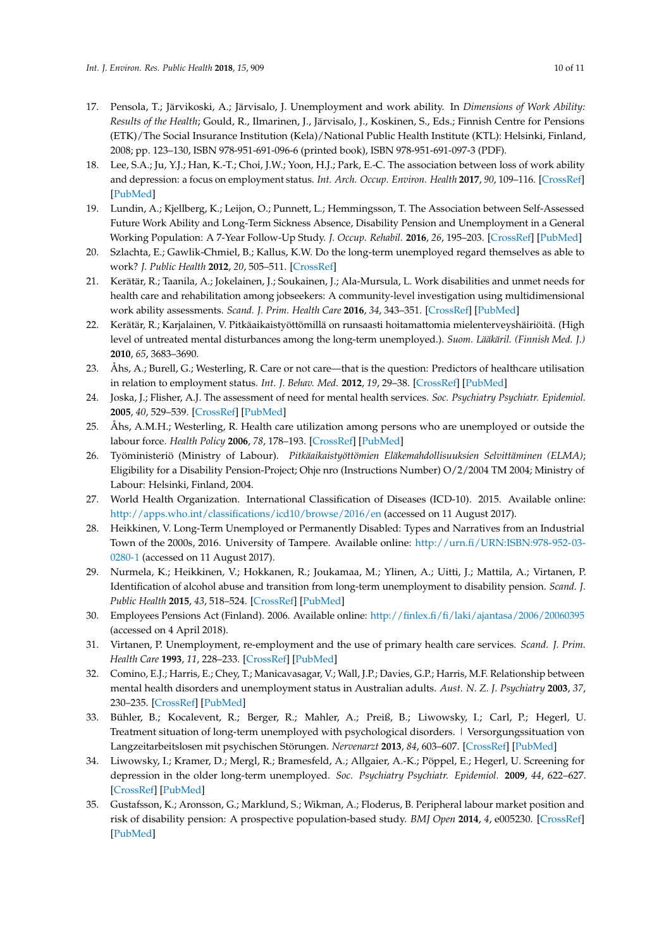- <span id="page-9-0"></span>17. Pensola, T.; Järvikoski, A.; Järvisalo, J. Unemployment and work ability. In *Dimensions of Work Ability: Results of the Health*; Gould, R., Ilmarinen, J., Järvisalo, J., Koskinen, S., Eds.; Finnish Centre for Pensions (ETK)/The Social Insurance Institution (Kela)/National Public Health Institute (KTL): Helsinki, Finland, 2008; pp. 123–130, ISBN 978-951-691-096-6 (printed book), ISBN 978-951-691-097-3 (PDF).
- 18. Lee, S.A.; Ju, Y.J.; Han, K.-T.; Choi, J.W.; Yoon, H.J.; Park, E.-C. The association between loss of work ability and depression: a focus on employment status. *Int. Arch. Occup. Environ. Health* **2017**, *90*, 109–116. [\[CrossRef\]](http://dx.doi.org/10.1007/s00420-016-1178-7) [\[PubMed\]](http://www.ncbi.nlm.nih.gov/pubmed/27804038)
- 19. Lundin, A.; Kjellberg, K.; Leijon, O.; Punnett, L.; Hemmingsson, T. The Association between Self-Assessed Future Work Ability and Long-Term Sickness Absence, Disability Pension and Unemployment in a General Working Population: A 7-Year Follow-Up Study. *J. Occup. Rehabil.* **2016**, *26*, 195–203. [\[CrossRef\]](http://dx.doi.org/10.1007/s10926-015-9603-4) [\[PubMed\]](http://www.ncbi.nlm.nih.gov/pubmed/26319413)
- <span id="page-9-1"></span>20. Szlachta, E.; Gawlik-Chmiel, B.; Kallus, K.W. Do the long-term unemployed regard themselves as able to work? *J. Public Health* **2012**, *20*, 505–511. [\[CrossRef\]](http://dx.doi.org/10.1007/s10389-012-0505-z)
- <span id="page-9-2"></span>21. Kerätär, R.; Taanila, A.; Jokelainen, J.; Soukainen, J.; Ala-Mursula, L. Work disabilities and unmet needs for health care and rehabilitation among jobseekers: A community-level investigation using multidimensional work ability assessments. *Scand. J. Prim. Health Care* **2016**, *34*, 343–351. [\[CrossRef\]](http://dx.doi.org/10.1080/02813432.2016.1248632) [\[PubMed\]](http://www.ncbi.nlm.nih.gov/pubmed/27804309)
- <span id="page-9-3"></span>22. Kerätär, R.; Karjalainen, V. Pitkäaikaistyöttömillä on runsaasti hoitamattomia mielenterveyshäiriöitä. (High level of untreated mental disturbances among the long-term unemployed.). *Suom. Lääkäril. (Finnish Med. J.)* **2010**, *65*, 3683–3690.
- <span id="page-9-4"></span>23. Åhs, A.; Burell, G.; Westerling, R. Care or not care—that is the question: Predictors of healthcare utilisation in relation to employment status. *Int. J. Behav. Med.* **2012**, *19*, 29–38. [\[CrossRef\]](http://dx.doi.org/10.1007/s12529-010-9129-2) [\[PubMed\]](http://www.ncbi.nlm.nih.gov/pubmed/21128042)
- 24. Joska, J.; Flisher, A.J. The assessment of need for mental health services. *Soc. Psychiatry Psychiatr. Epidemiol.* **2005**, *40*, 529–539. [\[CrossRef\]](http://dx.doi.org/10.1007/s00127-005-0920-3) [\[PubMed\]](http://www.ncbi.nlm.nih.gov/pubmed/16088372)
- <span id="page-9-5"></span>25. Åhs, A.M.H.; Westerling, R. Health care utilization among persons who are unemployed or outside the labour force. *Health Policy* **2006**, *78*, 178–193. [\[CrossRef\]](http://dx.doi.org/10.1016/j.healthpol.2005.10.010) [\[PubMed\]](http://www.ncbi.nlm.nih.gov/pubmed/16343685)
- <span id="page-9-6"></span>26. Työministeriö (Ministry of Labour). *Pitkäaikaistyöttömien Eläkemahdollisuuksien Selvittäminen (ELMA)*; Eligibility for a Disability Pension-Project; Ohje nro (Instructions Number) O/2/2004 TM 2004; Ministry of Labour: Helsinki, Finland, 2004.
- <span id="page-9-7"></span>27. World Health Organization. International Classification of Diseases (ICD-10). 2015. Available online: <http://apps.who.int/classifications/icd10/browse/2016/en> (accessed on 11 August 2017).
- <span id="page-9-8"></span>28. Heikkinen, V. Long-Term Unemployed or Permanently Disabled: Types and Narratives from an Industrial Town of the 2000s, 2016. University of Tampere. Available online: [http://urn.fi/URN:ISBN:978-952-03-](http://urn.fi/URN:ISBN:978-952-03-0280-1) [0280-1](http://urn.fi/URN:ISBN:978-952-03-0280-1) (accessed on 11 August 2017).
- <span id="page-9-9"></span>29. Nurmela, K.; Heikkinen, V.; Hokkanen, R.; Joukamaa, M.; Ylinen, A.; Uitti, J.; Mattila, A.; Virtanen, P. Identification of alcohol abuse and transition from long-term unemployment to disability pension. *Scand. J. Public Health* **2015**, *43*, 518–524. [\[CrossRef\]](http://dx.doi.org/10.1177/1403494815580149) [\[PubMed\]](http://www.ncbi.nlm.nih.gov/pubmed/25930940)
- <span id="page-9-10"></span>30. Employees Pensions Act (Finland). 2006. Available online: <http://finlex.fi/fi/laki/ajantasa/2006/20060395> (accessed on 4 April 2018).
- <span id="page-9-11"></span>31. Virtanen, P. Unemployment, re-employment and the use of primary health care services. *Scand. J. Prim. Health Care* **1993**, *11*, 228–233. [\[CrossRef\]](http://dx.doi.org/10.3109/02813439308994836) [\[PubMed\]](http://www.ncbi.nlm.nih.gov/pubmed/8146505)
- <span id="page-9-12"></span>32. Comino, E.J.; Harris, E.; Chey, T.; Manicavasagar, V.; Wall, J.P.; Davies, G.P.; Harris, M.F. Relationship between mental health disorders and unemployment status in Australian adults. *Aust. N. Z. J. Psychiatry* **2003**, *37*, 230–235. [\[CrossRef\]](http://dx.doi.org/10.1046/j.1440-1614.2003.01127.x) [\[PubMed\]](http://www.ncbi.nlm.nih.gov/pubmed/12656965)
- <span id="page-9-13"></span>33. Bühler, B.; Kocalevent, R.; Berger, R.; Mahler, A.; Preiß, B.; Liwowsky, I.; Carl, P.; Hegerl, U. Treatment situation of long-term unemployed with psychological disorders. | Versorgungssituation von Langzeitarbeitslosen mit psychischen Störungen. *Nervenarzt* **2013**, *84*, 603–607. [\[CrossRef\]](http://dx.doi.org/10.1007/s00115-011-3457-6) [\[PubMed\]](http://www.ncbi.nlm.nih.gov/pubmed/23052889)
- <span id="page-9-14"></span>34. Liwowsky, I.; Kramer, D.; Mergl, R.; Bramesfeld, A.; Allgaier, A.-K.; Pöppel, E.; Hegerl, U. Screening for depression in the older long-term unemployed. *Soc. Psychiatry Psychiatr. Epidemiol.* **2009**, *44*, 622–627. [\[CrossRef\]](http://dx.doi.org/10.1007/s00127-008-0478-y) [\[PubMed\]](http://www.ncbi.nlm.nih.gov/pubmed/19048174)
- <span id="page-9-15"></span>35. Gustafsson, K.; Aronsson, G.; Marklund, S.; Wikman, A.; Floderus, B. Peripheral labour market position and risk of disability pension: A prospective population-based study. *BMJ Open* **2014**, *4*, e005230. [\[CrossRef\]](http://dx.doi.org/10.1136/bmjopen-2014-005230) [\[PubMed\]](http://www.ncbi.nlm.nih.gov/pubmed/25142263)